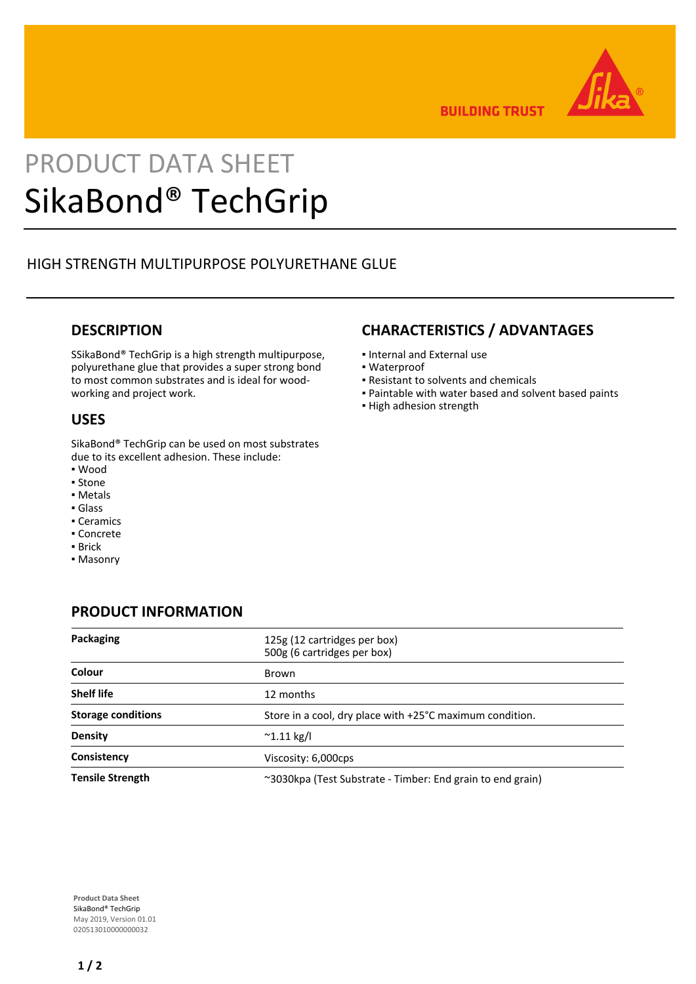

**BUILDING TRUST** 

# PRODUCT DATA SHEET SikaBond® TechGrip

# HIGH STRENGTH MULTIPURPOSE POLYURETHANE GLUE

## **DESCRIPTION**

SSikaBond® TechGrip is a high strength multipurpose, polyurethane glue that provides a super strong bond to most common substrates and is ideal for woodworking and project work.

## **USES**

SikaBond® TechGrip can be used on most substrates due to its excellent adhesion. These include:

- Wood
- Stone
- Metals
- Glass
- Ceramics
- Concrete
- Brick
- Masonry

# **CHARACTERISTICS / ADVANTAGES**

- Internal and External use
- Waterproof
- Resistant to solvents and chemicals
- Paintable with water based and solvent based paints
- **.** High adhesion strength

# **PRODUCT INFORMATION**

| Packaging                 | 125g (12 cartridges per box)<br>500g (6 cartridges per box) |
|---------------------------|-------------------------------------------------------------|
| Colour                    | Brown                                                       |
| <b>Shelf life</b>         | 12 months                                                   |
| <b>Storage conditions</b> | Store in a cool, dry place with +25°C maximum condition.    |
| <b>Density</b>            | $^{\sim}$ 1.11 kg/l                                         |
| Consistency               | Viscosity: 6,000cps                                         |
| <b>Tensile Strength</b>   | ~3030kpa (Test Substrate - Timber: End grain to end grain)  |

**Product Data Sheet** SikaBond® TechGrip May 2019, Version 01.01 020513010000000032